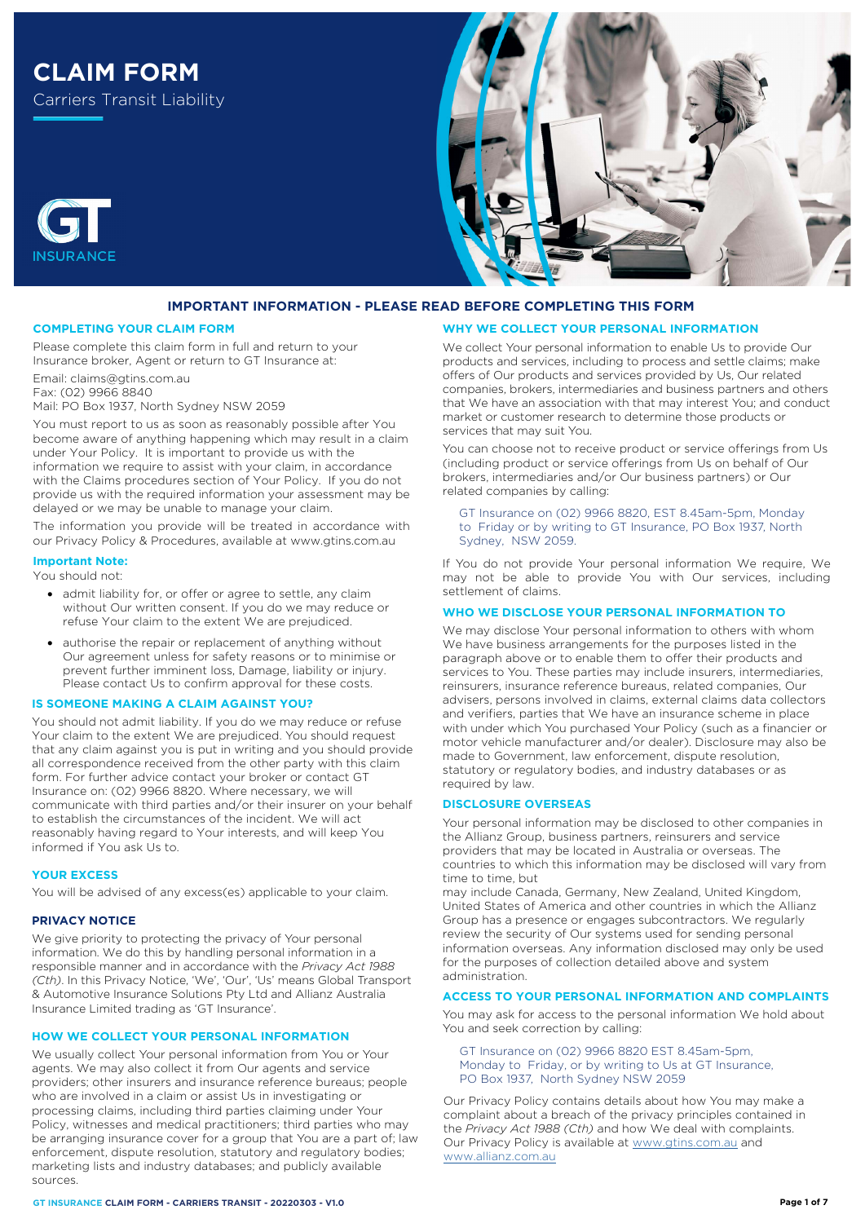

# **IMPORTANT INFORMATION - PLEASE READ BEFORE COMPLETING THIS FORM**

#### **COMPLETING YOUR CLAIM FORM**

Please complete this claim form in full and return to your Insurance broker, Agent or return to GT Insurance at:

Email: claims@gtins.com.au Fax: (02) 9966 8840 Mail: PO Box 1937, North Sydney NSW 2059

You must report to us as soon as reasonably possible after You become aware of anything happening which may result in a claim under Your Policy. It is important to provide us with the information we require to assist with your claim, in accordance with the Claims procedures section of Your Policy. If you do not provide us with the required information your assessment may be delayed or we may be unable to manage your claim.

The information you provide will be treated in accordance with our Privacy Policy & Procedures, available at [www.gtins.com.au](https://www.gtins.com.au/documents-and-policies/)

## **Important Note:**

You should not:

**INSURANCE** 

- admit liability for, or offer or agree to settle, any claim without Our written consent. If you do we may reduce or refuse Your claim to the extent We are prejudiced.
- authorise the repair or replacement of anything without Our agreement unless for safety reasons or to minimise or prevent further imminent loss, Damage, liability or injury. Please contact Us to confirm approval for these costs.

# **IS SOMEONE MAKING A CLAIM AGAINST YOU?**

You should not admit liability. If you do we may reduce or refuse Your claim to the extent We are prejudiced. You should request that any claim against you is put in writing and you should provide all correspondence received from the other party with this claim form. For further advice contact your broker or contact GT Insurance on: (02) 9966 8820. Where necessary, we will communicate with third parties and/or their insurer on your behalf to establish the circumstances of the incident. We will act reasonably having regard to Your interests, and will keep You informed if You ask Us to.

#### **YOUR EXCESS**

You will be advised of any excess(es) applicable to your claim.

#### **PRIVACY NOTICE**

We give priority to protecting the privacy of Your personal information. We do this by handling personal information in a responsible manner and in accordance with the *Privacy Act 1988 (Cth)*. In this Privacy Notice, 'We', 'Our', 'Us' means Global Transport & Automotive Insurance Solutions Pty Ltd and Allianz Australia Insurance Limited trading as 'GT Insurance'.

### **HOW WE COLLECT YOUR PERSONAL INFORMATION**

We usually collect Your personal information from You or Your agents. We may also collect it from Our agents and service providers; other insurers and insurance reference bureaus; people who are involved in a claim or assist Us in investigating or processing claims, including third parties claiming under Your Policy, witnesses and medical practitioners; third parties who may be arranging insurance cover for a group that You are a part of; law enforcement, dispute resolution, statutory and regulatory bodies; marketing lists and industry databases; and publicly available sources.

#### **GT INSURANCE CLAIM FORM - CARRIERS TRANSIT - 20220303 - V1.0**

#### **WHY WE COLLECT YOUR PERSONAL INFORMATION**

We collect Your personal information to enable Us to provide Our products and services, including to process and settle claims; make offers of Our products and services provided by Us, Our related companies, brokers, intermediaries and business partners and others that We have an association with that may interest You; and conduct market or customer research to determine those products or services that may suit You.

You can choose not to receive product or service offerings from Us (including product or service offerings from Us on behalf of Our brokers, intermediaries and/or Our business partners) or Our related companies by calling:

GT Insurance on (02) 9966 8820, EST 8.45am-5pm, Monday to Friday or by writing to GT Insurance, PO Box 1937, North Sydney, NSW 2059.

If You do not provide Your personal information We require, We may not be able to provide You with Our services, including settlement of claims.

#### **WHO WE DISCLOSE YOUR PERSONAL INFORMATION TO**

We may disclose Your personal information to others with whom We have business arrangements for the purposes listed in the paragraph above or to enable them to offer their products and services to You. These parties may include insurers, intermediaries, reinsurers, insurance reference bureaus, related companies, Our advisers, persons involved in claims, external claims data collectors and verifiers, parties that We have an insurance scheme in place with under which You purchased Your Policy (such as a financier or motor vehicle manufacturer and/or dealer). Disclosure may also be made to Government, law enforcement, dispute resolution, statutory or regulatory bodies, and industry databases or as required by law.

#### **DISCLOSURE OVERSEAS**

Your personal information may be disclosed to other companies in the Allianz Group, business partners, reinsurers and service providers that may be located in Australia or overseas. The countries to which this information may be disclosed will vary from time to time, but

may include Canada, Germany, New Zealand, United Kingdom, United States of America and other countries in which the Allianz Group has a presence or engages subcontractors. We regularly review the security of Our systems used for sending personal information overseas. Any information disclosed may only be used for the purposes of collection detailed above and system administration.

# **ACCESS TO YOUR PERSONAL INFORMATION AND COMPLAINTS**

You may ask for access to the personal information We hold about You and seek correction by calling:

GT Insurance on (02) 9966 8820 EST 8.45am-5pm, Monday to Friday, or by writing to Us at GT Insurance, PO Box 1937, North Sydney NSW 2059

Our Privacy Policy contains details about how You may make a complaint about a breach of the privacy principles contained in the *Privacy Act 1988 (Cth)* and how We deal with complaints. Our Privacy Policy is available at [www.gtins.com.au](https://www.gtins.com.au/documents-and-policies/) and [www.allianz.com.au](https://www.allianz.com.au/about-us/privacy/)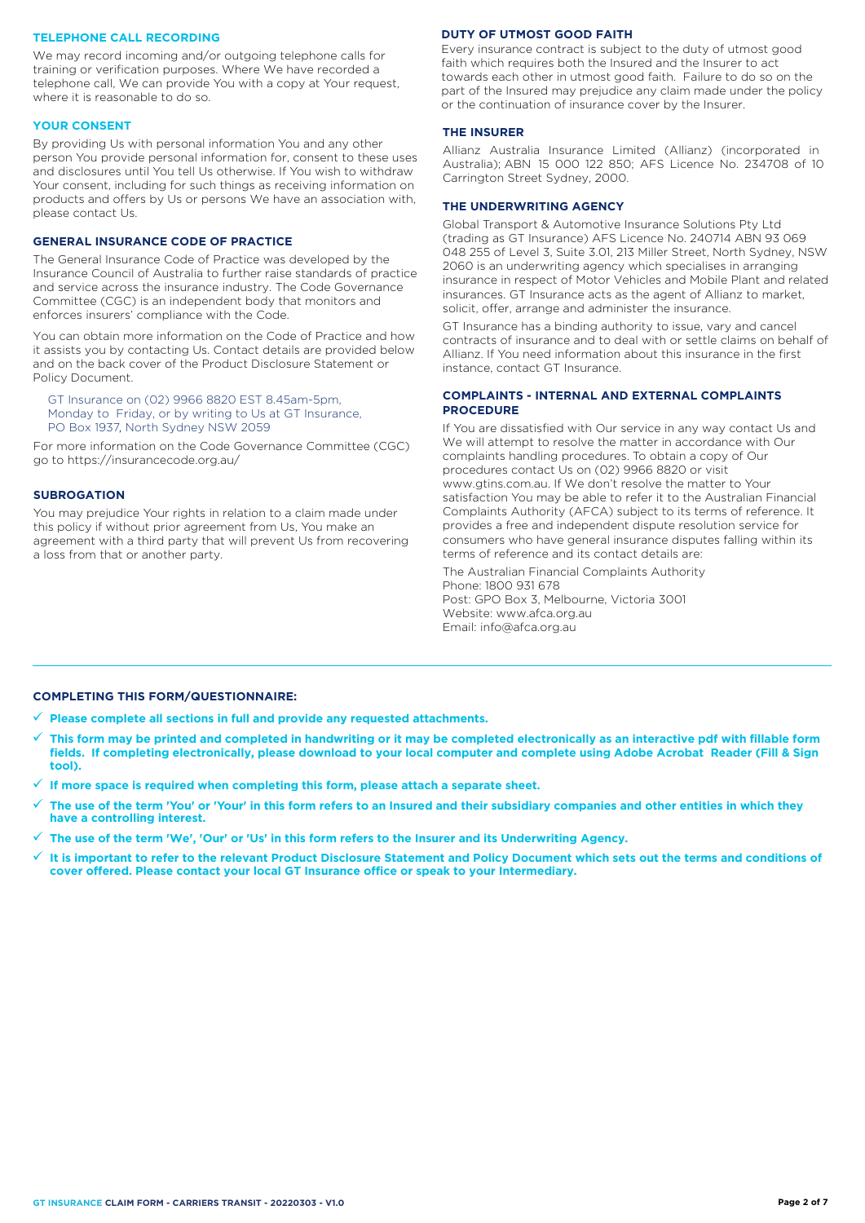#### **TELEPHONE CALL RECORDING**

We may record incoming and/or outgoing telephone calls for training or verification purposes. Where We have recorded a telephone call, We can provide You with a copy at Your request, where it is reasonable to do so.

#### **YOUR CONSENT**

By providing Us with personal information You and any other person You provide personal information for, consent to these uses and disclosures until You tell Us otherwise. If You wish to withdraw Your consent, including for such things as receiving information on products and offers by Us or persons We have an association with, please contact Us.

# **GENERAL INSURANCE CODE OF PRACTICE**

The General Insurance Code of Practice was developed by the Insurance Council of Australia to further raise standards of practice and service across the insurance industry. The Code Governance Committee (CGC) is an independent body that monitors and enforces insurers' compliance with the Code.

You can obtain more information on the Code of Practice and how it assists you by contacting Us. Contact details are provided below and on the back cover of the Product Disclosure Statement or Policy Document.

GT Insurance on (02) 9966 8820 EST 8.45am-5pm, Monday to Friday, or by writing to Us at GT Insurance, PO Box 1937, North Sydney NSW 2059

For more information on the Code Governance Committee (CGC) go to https://insurancecode.org.au/

#### **SUBROGATION**

You may prejudice Your rights in relation to a claim made under this policy if without prior agreement from Us, You make an agreement with a third party that will prevent Us from recovering a loss from that or another party.

## **DUTY OF UTMOST GOOD FAITH**

Every insurance contract is subject to the duty of utmost good faith which requires both the Insured and the Insurer to act towards each other in utmost good faith. Failure to do so on the part of the Insured may prejudice any claim made under the policy or the continuation of insurance cover by the Insurer.

## **THE INSURER**

Allianz Australia Insurance Limited (Allianz) (incorporated in Australia); ABN 15 000 122 850; AFS Licence No. 234708 of 10 Carrington Street Sydney, 2000.

## **THE UNDERWRITING AGENCY**

Global Transport & Automotive Insurance Solutions Pty Ltd (trading as GT Insurance) AFS Licence No. 240714 ABN 93 069 048 255 of Level 3, Suite 3.01, 213 Miller Street, North Sydney, NSW 2060 is an underwriting agency which specialises in arranging insurance in respect of Motor Vehicles and Mobile Plant and related insurances. GT Insurance acts as the agent of Allianz to market, solicit, offer, arrange and administer the insurance.

GT Insurance has a binding authority to issue, vary and cancel contracts of insurance and to deal with or settle claims on behalf of Allianz. If You need information about this insurance in the first instance, contact GT Insurance.

## **COMPLAINTS - INTERNAL AND EXTERNAL COMPLAINTS PROCEDURE**

If You are dissatisfied with Our service in any way contact Us and We will attempt to resolve the matter in accordance with Our complaints handling procedures. To obtain a copy of Our procedures contact Us on (02) 9966 8820 or visit www.gtins.com.au. If We don't resolve the matter to Your satisfaction You may be able to refer it to the Australian Financial Complaints Authority (AFCA) subject to its terms of reference. It provides a free and independent dispute resolution service for consumers who have general insurance disputes falling within its terms of reference and its contact details are:

The Australian Financial Complaints Authority Phone: 1800 931 678 Post: GPO Box 3, Melbourne, Victoria 3001 Website: www.afca.org.au Email: info@afca.org.au

### **COMPLETING THIS FORM/QUESTIONNAIRE:**

**Please complete all sections in full and provide any requested attachments.**

- **This form may be printed and completed in handwriting or it may be completed electronically as an interactive pdf with fillable form fields. If completing electronically, please download to your local computer and complete using Adobe Acrobat Reader (Fill & Sign tool).**
- **If more space is required when completing this form, please attach a separate sheet.**
- **The use of the term 'You' or 'Your' in this form refers to an Insured and their subsidiary companies and other entities in which they have a controlling interest.**
- **The use of the term 'We', 'Our' or 'Us' in this form refers to the Insurer and its Underwriting Agency.**
- **It is important to refer to the relevant Product Disclosure Statement and Policy Document which sets out the terms and conditions of cover offered. Please contact your local GT Insurance office or speak to your Intermediary.**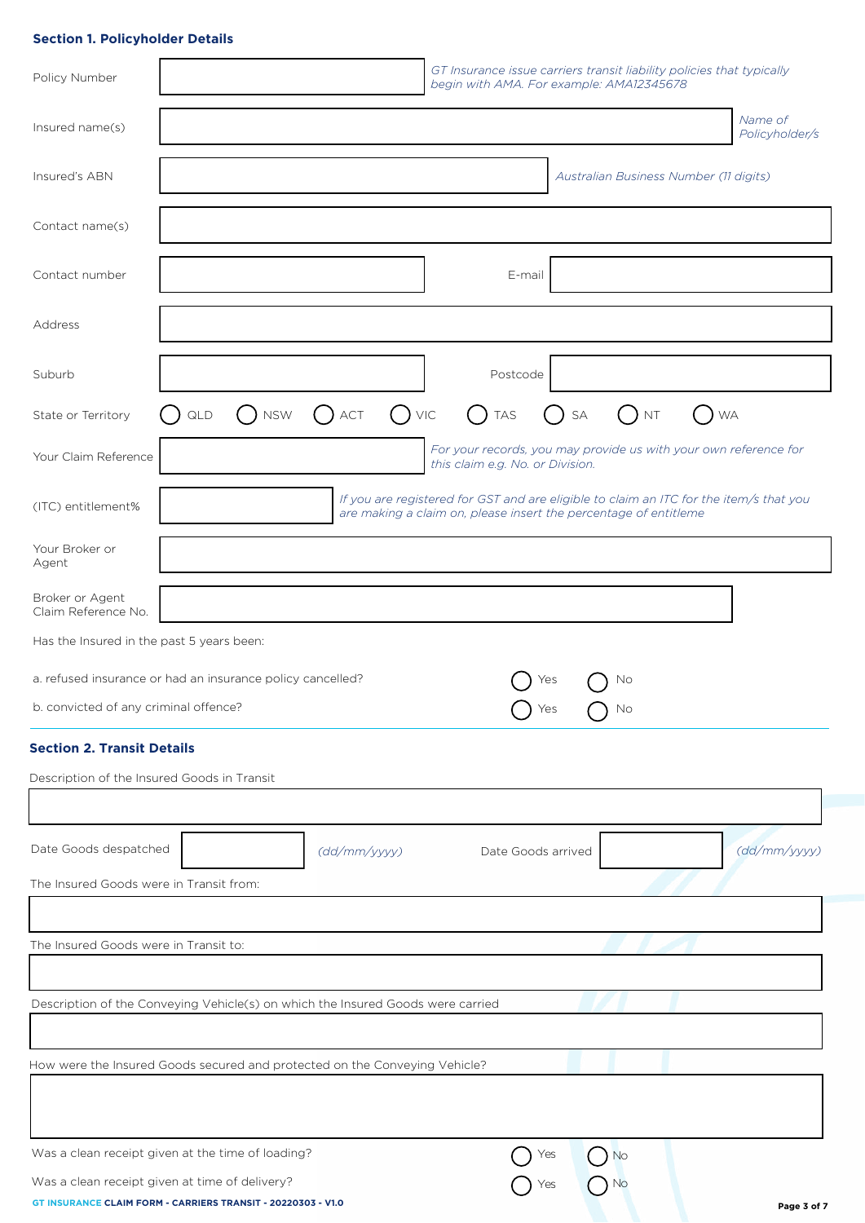# **Section 1. Policyholder Details**

| Policy Number                               |                                                                                                                |                       | begin with AMA. For example: AMA12345678                         |                                        | GT Insurance issue carriers transit liability policies that typically                  |
|---------------------------------------------|----------------------------------------------------------------------------------------------------------------|-----------------------|------------------------------------------------------------------|----------------------------------------|----------------------------------------------------------------------------------------|
| Insured name(s)                             |                                                                                                                |                       |                                                                  |                                        | Name of<br>Policyholder/s                                                              |
| Insured's ABN                               |                                                                                                                |                       |                                                                  | Australian Business Number (11 digits) |                                                                                        |
| Contact name(s)                             |                                                                                                                |                       |                                                                  |                                        |                                                                                        |
| Contact number                              |                                                                                                                |                       | E-mail                                                           |                                        |                                                                                        |
| Address                                     |                                                                                                                |                       |                                                                  |                                        |                                                                                        |
| Suburb                                      |                                                                                                                |                       | Postcode                                                         |                                        |                                                                                        |
| State or Territory                          | <b>NSW</b><br>QLD                                                                                              | $()$ VIC<br>$( )$ ACT | <b>TAS</b><br>$\left( \quad \right)$                             | SA<br><b>NT</b>                        | <b>WA</b>                                                                              |
| Your Claim Reference                        |                                                                                                                |                       | this claim e.g. No. or Division.                                 |                                        | For your records, you may provide us with your own reference for                       |
| (ITC) entitlement%                          |                                                                                                                |                       | are making a claim on, please insert the percentage of entitleme |                                        | If you are registered for GST and are eligible to claim an ITC for the item/s that you |
| Your Broker or<br>Agent                     |                                                                                                                |                       |                                                                  |                                        |                                                                                        |
| Broker or Agent<br>Claim Reference No.      |                                                                                                                |                       |                                                                  |                                        |                                                                                        |
| Has the Insured in the past 5 years been:   |                                                                                                                |                       |                                                                  |                                        |                                                                                        |
|                                             | a. refused insurance or had an insurance policy cancelled?                                                     |                       | Yes                                                              | Νo                                     |                                                                                        |
| b. convicted of any criminal offence?       |                                                                                                                |                       | Yes                                                              | No                                     |                                                                                        |
| <b>Section 2. Transit Details</b>           |                                                                                                                |                       |                                                                  |                                        |                                                                                        |
| Description of the Insured Goods in Transit |                                                                                                                |                       |                                                                  |                                        |                                                                                        |
| Date Goods despatched                       |                                                                                                                | (dd/mm/yyyy)          | Date Goods arrived                                               |                                        | (dd/mm/yyyy)                                                                           |
| The Insured Goods were in Transit from:     |                                                                                                                |                       |                                                                  |                                        |                                                                                        |
|                                             |                                                                                                                |                       |                                                                  |                                        |                                                                                        |
| The Insured Goods were in Transit to:       |                                                                                                                |                       |                                                                  |                                        |                                                                                        |
|                                             | Description of the Conveying Vehicle(s) on which the Insured Goods were carried                                |                       |                                                                  |                                        |                                                                                        |
|                                             | How were the Insured Goods secured and protected on the Conveying Vehicle?                                     |                       |                                                                  |                                        |                                                                                        |
|                                             |                                                                                                                |                       |                                                                  |                                        |                                                                                        |
|                                             | Was a clean receipt given at the time of loading?                                                              |                       | Yes                                                              | No                                     |                                                                                        |
|                                             | Was a clean receipt given at time of delivery?<br>GT INSURANCE CLAIM FORM - CARRIERS TRANSIT - 20220303 - V1.0 |                       | Yes                                                              | No                                     | Page 3 of 7                                                                            |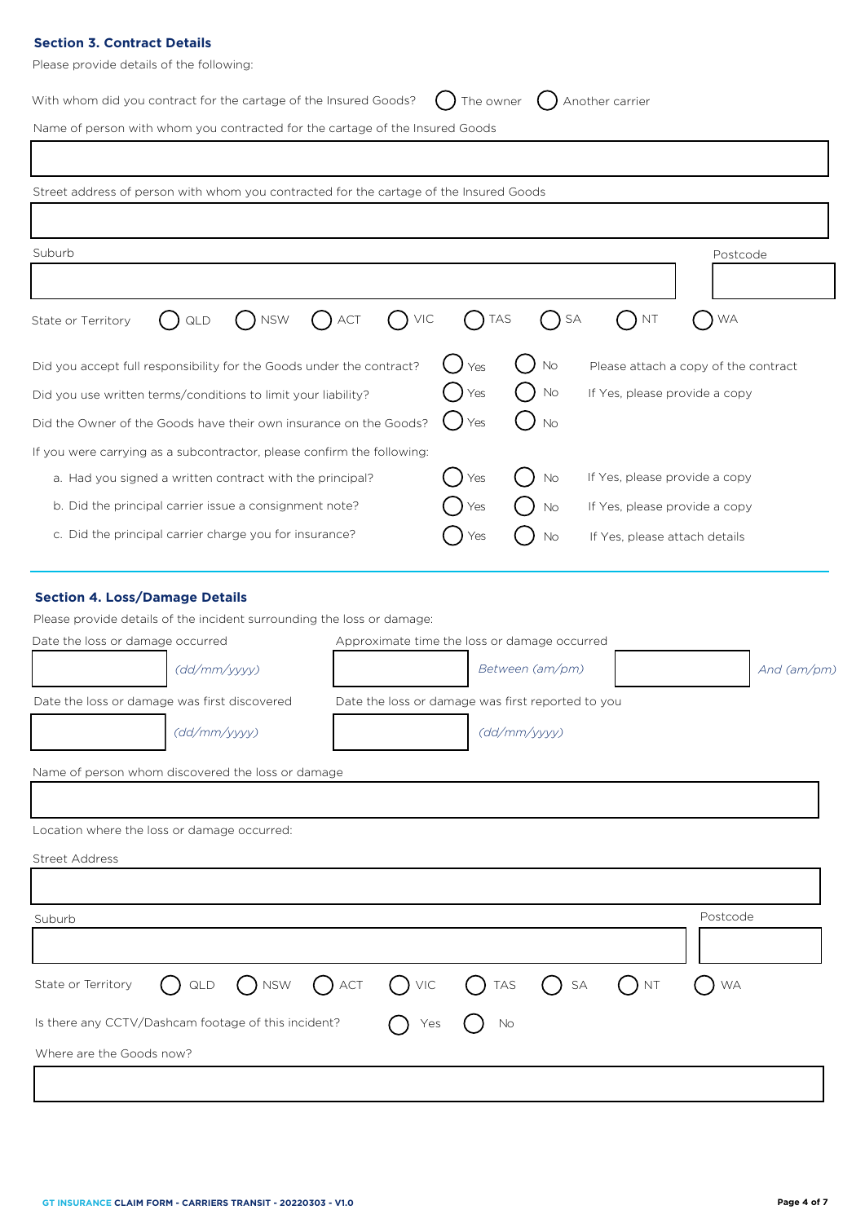# **Section 3. Contract Details**

Please provide details of the following:

| With whom did you contract for the cartage of the Insured Goods? $\bigcirc$ The owner $\bigcirc$ Another carrier |  |  |
|------------------------------------------------------------------------------------------------------------------|--|--|
|------------------------------------------------------------------------------------------------------------------|--|--|

Name of person with whom you contracted for the cartage of the Insured Goods

| Street address of person with whom you contracted for the cartage of the Insured Goods                                                                                                                                                                                                                                                               |     |                                 |                               |                                      |
|------------------------------------------------------------------------------------------------------------------------------------------------------------------------------------------------------------------------------------------------------------------------------------------------------------------------------------------------------|-----|---------------------------------|-------------------------------|--------------------------------------|
| Suburb                                                                                                                                                                                                                                                                                                                                               |     |                                 |                               | Postcode                             |
|                                                                                                                                                                                                                                                                                                                                                      |     |                                 |                               |                                      |
| $\bigcap$ NSW<br>$( )$ ACT<br>VIC<br>QLD<br>State or Territory                                                                                                                                                                                                                                                                                       |     | <b>TAS</b>                      | SA<br><b>NT</b>               | <b>WA</b>                            |
| Did you accept full responsibility for the Goods under the contract?                                                                                                                                                                                                                                                                                 | Yes | <b>No</b>                       |                               | Please attach a copy of the contract |
| Did you use written terms/conditions to limit your liability?                                                                                                                                                                                                                                                                                        | Yes | No                              |                               | If Yes, please provide a copy        |
| Did the Owner of the Goods have their own insurance on the Goods?                                                                                                                                                                                                                                                                                    | Yes | No                              |                               |                                      |
| If you were carrying as a subcontractor, please confirm the following:                                                                                                                                                                                                                                                                               |     |                                 |                               |                                      |
| a. Had you signed a written contract with the principal?                                                                                                                                                                                                                                                                                             | Yes | No                              | If Yes, please provide a copy |                                      |
| b. Did the principal carrier issue a consignment note?                                                                                                                                                                                                                                                                                               | Yes | No                              |                               | If Yes, please provide a copy        |
| c. Did the principal carrier charge you for insurance?<br>No<br>If Yes, please attach details<br>Yes                                                                                                                                                                                                                                                 |     |                                 |                               |                                      |
| Please provide details of the incident surrounding the loss or damage:<br>Approximate time the loss or damage occurred<br>Date the loss or damage occurred<br>(dd/mm/yyyy)<br>Date the loss or damage was first reported to you<br>Date the loss or damage was first discovered<br>(dd/mm/yyyy)<br>Name of person whom discovered the loss or damage |     | Between (am/pm)<br>(dd/mm/yyyy) |                               | And $(am/pm)$                        |
| Location where the loss or damage occurred:                                                                                                                                                                                                                                                                                                          |     |                                 |                               |                                      |
| <b>Street Address</b>                                                                                                                                                                                                                                                                                                                                |     |                                 |                               |                                      |
|                                                                                                                                                                                                                                                                                                                                                      |     |                                 |                               |                                      |
|                                                                                                                                                                                                                                                                                                                                                      |     |                                 |                               | Postcode                             |
| Suburb                                                                                                                                                                                                                                                                                                                                               |     |                                 |                               |                                      |
| NSW<br>$( )$ ACT<br>VIC<br>State or Territory<br>QLD                                                                                                                                                                                                                                                                                                 |     | <b>TAS</b>                      | SA<br><b>NT</b>               | <b>WA</b>                            |
| Is there any CCTV/Dashcam footage of this incident?                                                                                                                                                                                                                                                                                                  | Yes | No                              |                               |                                      |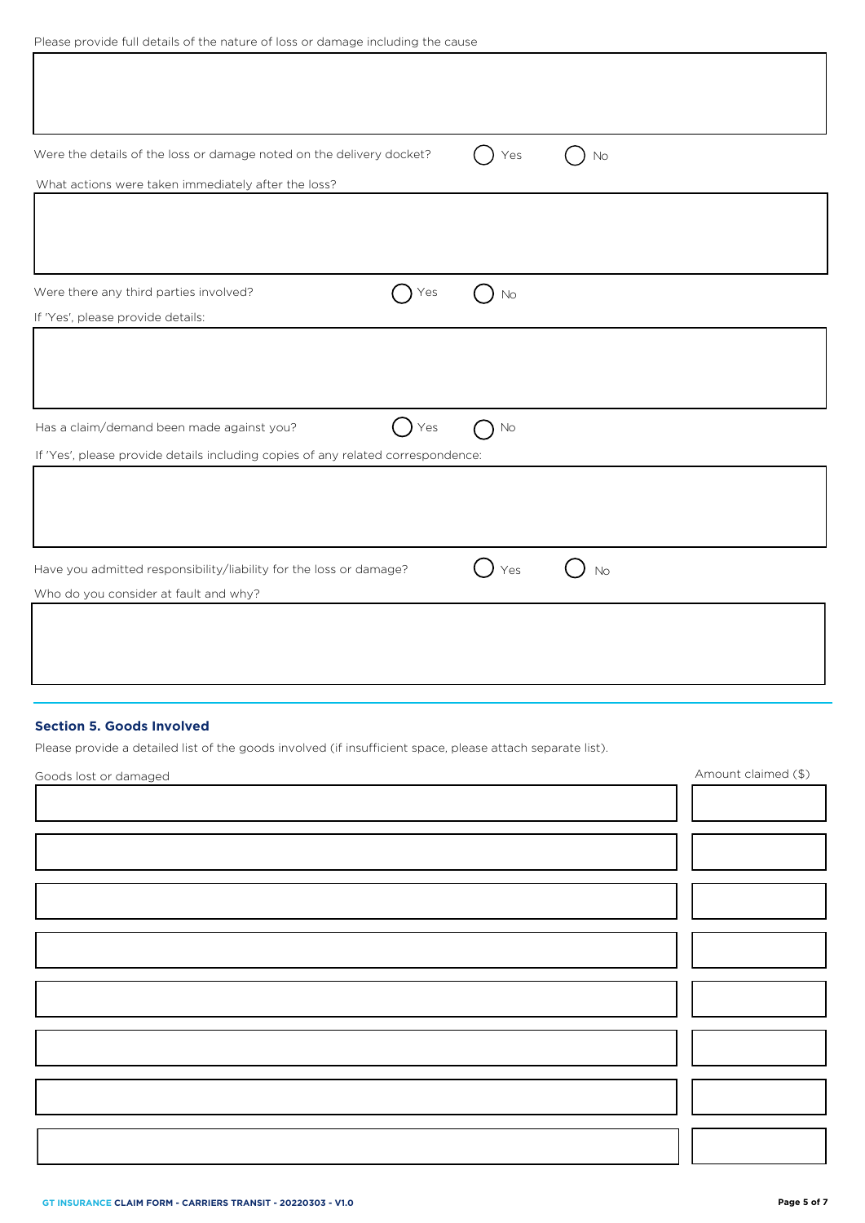| Please provide full details of the nature of loss or damage including the cause |  |
|---------------------------------------------------------------------------------|--|
|---------------------------------------------------------------------------------|--|

| Were the details of the loss or damage noted on the delivery docket?<br>What actions were taken immediately after the loss? | Yes | No        |
|-----------------------------------------------------------------------------------------------------------------------------|-----|-----------|
|                                                                                                                             |     |           |
|                                                                                                                             |     |           |
| Were there any third parties involved?<br>Yes                                                                               | No  |           |
| If 'Yes', please provide details:                                                                                           |     |           |
|                                                                                                                             |     |           |
| Has a claim/demand been made against you?<br>Yes                                                                            | No  |           |
| If 'Yes', please provide details including copies of any related correspondence:                                            |     |           |
|                                                                                                                             |     |           |
|                                                                                                                             |     |           |
| Have you admitted responsibility/liability for the loss or damage?                                                          | Yes | <b>No</b> |
| Who do you consider at fault and why?                                                                                       |     |           |
|                                                                                                                             |     |           |
|                                                                                                                             |     |           |
|                                                                                                                             |     |           |

# **Section 5. Goods Involved**

Please provide a detailed list of the goods involved (if insufficient space, please attach separate list).

| Goods lost or damaged | Amount claimed (\$) |
|-----------------------|---------------------|
|                       |                     |
|                       |                     |
|                       |                     |
|                       |                     |
|                       |                     |
|                       |                     |
|                       |                     |
|                       |                     |
|                       |                     |
|                       |                     |
|                       |                     |
|                       |                     |
|                       |                     |
|                       |                     |
|                       |                     |
|                       |                     |
|                       |                     |
|                       |                     |
|                       |                     |
|                       |                     |
|                       |                     |
|                       |                     |
|                       |                     |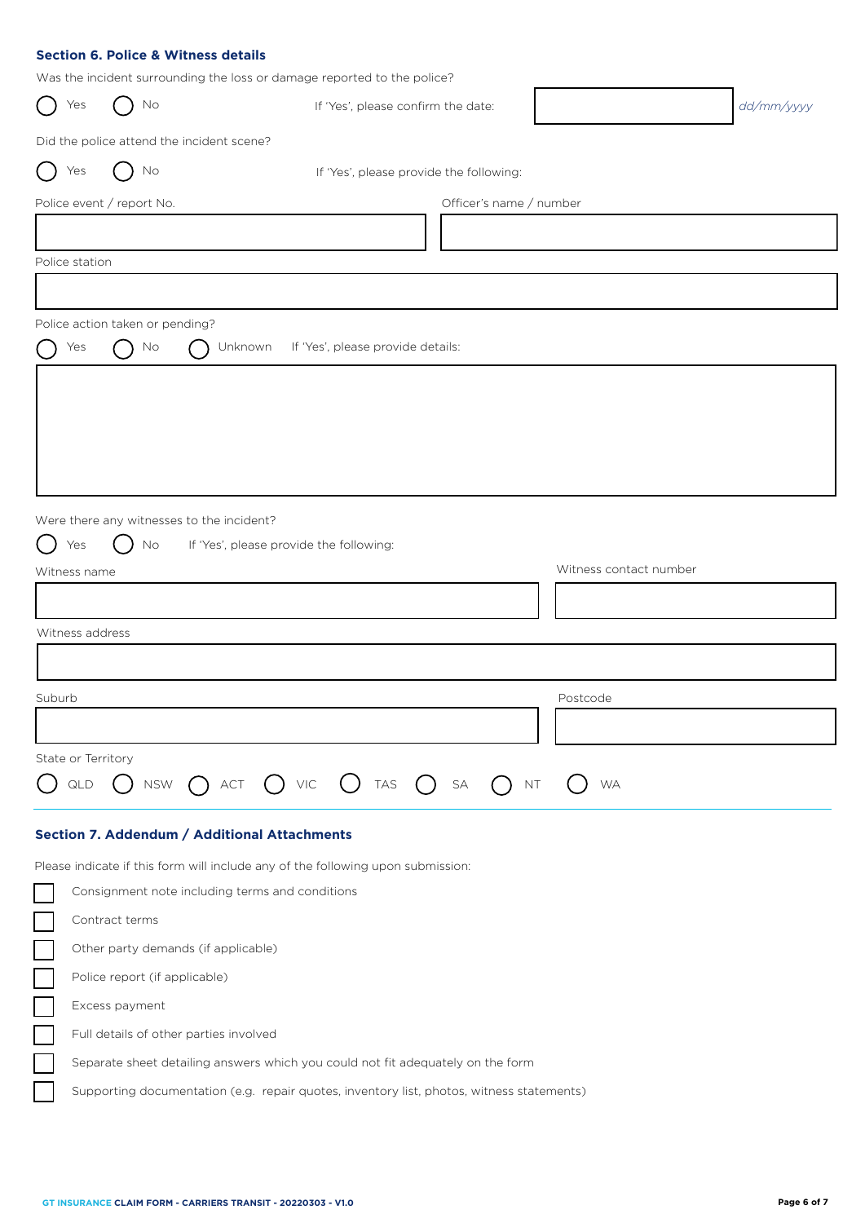|  |  |  |  | <b>Section 6. Police &amp; Witness details</b> |  |
|--|--|--|--|------------------------------------------------|--|
|--|--|--|--|------------------------------------------------|--|

Was the incident surrounding the loss or damage reported to the police?

| Yes                | No                              | was the including san oanlamig the 1899 or damage reported to the police.<br>If 'Yes', please confirm the date: |                        | dd/mm/yyyy |
|--------------------|---------------------------------|-----------------------------------------------------------------------------------------------------------------|------------------------|------------|
|                    |                                 | Did the police attend the incident scene?                                                                       |                        |            |
| Yes                | No                              | If 'Yes', please provide the following:                                                                         |                        |            |
|                    | Police event / report No.       | Officer's name / number                                                                                         |                        |            |
|                    |                                 |                                                                                                                 |                        |            |
| Police station     |                                 |                                                                                                                 |                        |            |
|                    |                                 |                                                                                                                 |                        |            |
|                    | Police action taken or pending? |                                                                                                                 |                        |            |
| Yes                | No                              | If 'Yes', please provide details:<br>Unknown                                                                    |                        |            |
|                    |                                 |                                                                                                                 |                        |            |
|                    |                                 |                                                                                                                 |                        |            |
|                    |                                 |                                                                                                                 |                        |            |
|                    |                                 |                                                                                                                 |                        |            |
|                    |                                 |                                                                                                                 |                        |            |
|                    |                                 | Were there any witnesses to the incident?                                                                       |                        |            |
| Yes                | No                              | If 'Yes', please provide the following:                                                                         |                        |            |
| Witness name       |                                 |                                                                                                                 | Witness contact number |            |
|                    |                                 |                                                                                                                 |                        |            |
| Witness address    |                                 |                                                                                                                 |                        |            |
|                    |                                 |                                                                                                                 |                        |            |
|                    |                                 |                                                                                                                 |                        |            |
| Suburb             |                                 |                                                                                                                 | Postcode               |            |
|                    |                                 |                                                                                                                 |                        |            |
| State or Territory |                                 |                                                                                                                 |                        |            |
| QLD                | <b>NSW</b>                      | $()$ TAS<br>$()$ $VIC$<br>$\mathsf{SA}\xspace$<br>NT<br>ACT<br>$($ )                                            | <b>WA</b>              |            |
|                    |                                 | Section 7. Addendum / Additional Attachments                                                                    |                        |            |
|                    |                                 | Please indicate if this form will include any of the following upon submission:                                 |                        |            |
|                    |                                 | Consignment note including terms and conditions                                                                 |                        |            |
|                    | Contract terms                  |                                                                                                                 |                        |            |
|                    |                                 | Other party demands (if applicable)                                                                             |                        |            |
|                    |                                 |                                                                                                                 |                        |            |

Police report (if applicable)

Excess payment

Ξ Full details of other parties involved

Separate sheet detailing answers which you could not fit adequately on the form

Supporting documentation (e.g. repair quotes, inventory list, photos, witness statements)